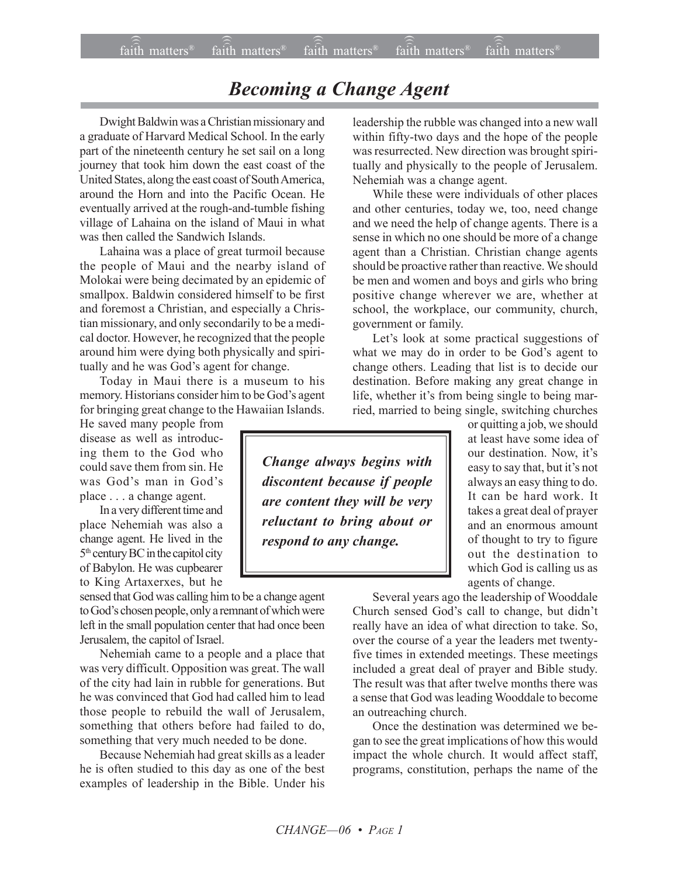## *Becoming a Change Agent*

Dwight Baldwin was a Christian missionary and a graduate of Harvard Medical School. In the early part of the nineteenth century he set sail on a long journey that took him down the east coast of the United States, along the east coast of South America, around the Horn and into the Pacific Ocean. He eventually arrived at the rough-and-tumble fishing village of Lahaina on the island of Maui in what was then called the Sandwich Islands.

Lahaina was a place of great turmoil because the people of Maui and the nearby island of Molokai were being decimated by an epidemic of smallpox. Baldwin considered himself to be first and foremost a Christian, and especially a Christian missionary, and only secondarily to be a medical doctor. However, he recognized that the people around him were dying both physically and spiritually and he was God's agent for change.

Today in Maui there is a museum to his memory. Historians consider him to be God's agent for bringing great change to the Hawaiian Islands.

He saved many people from disease as well as introducing them to the God who could save them from sin. He was God's man in God's place . . . a change agent.

In a very different time and place Nehemiah was also a change agent. He lived in the 5th century BC in the capitol city of Babylon. He was cupbearer to King Artaxerxes, but he

sensed that God was calling him to be a change agent to God's chosen people, only a remnant of which were left in the small population center that had once been Jerusalem, the capitol of Israel.

Nehemiah came to a people and a place that was very difficult. Opposition was great. The wall of the city had lain in rubble for generations. But he was convinced that God had called him to lead those people to rebuild the wall of Jerusalem, something that others before had failed to do, something that very much needed to be done.

Because Nehemiah had great skills as a leader he is often studied to this day as one of the best examples of leadership in the Bible. Under his leadership the rubble was changed into a new wall within fifty-two days and the hope of the people was resurrected. New direction was brought spiritually and physically to the people of Jerusalem. Nehemiah was a change agent.

While these were individuals of other places and other centuries, today we, too, need change and we need the help of change agents. There is a sense in which no one should be more of a change agent than a Christian. Christian change agents should be proactive rather than reactive. We should be men and women and boys and girls who bring positive change wherever we are, whether at school, the workplace, our community, church, government or family.

Let's look at some practical suggestions of what we may do in order to be God's agent to change others. Leading that list is to decide our destination. Before making any great change in life, whether it's from being single to being married, married to being single, switching churches

> or quitting a job, we should at least have some idea of our destination. Now, it's easy to say that, but it's not always an easy thing to do. It can be hard work. It takes a great deal of prayer and an enormous amount of thought to try to figure out the destination to which God is calling us as agents of change.

Several years ago the leadership of Wooddale Church sensed God's call to change, but didn't really have an idea of what direction to take. So, over the course of a year the leaders met twentyfive times in extended meetings. These meetings included a great deal of prayer and Bible study. The result was that after twelve months there was a sense that God was leading Wooddale to become an outreaching church.

Once the destination was determined we began to see the great implications of how this would impact the whole church. It would affect staff, programs, constitution, perhaps the name of the

*Change always begins with discontent because if people are content they will be very reluctant to bring about or respond to any change.*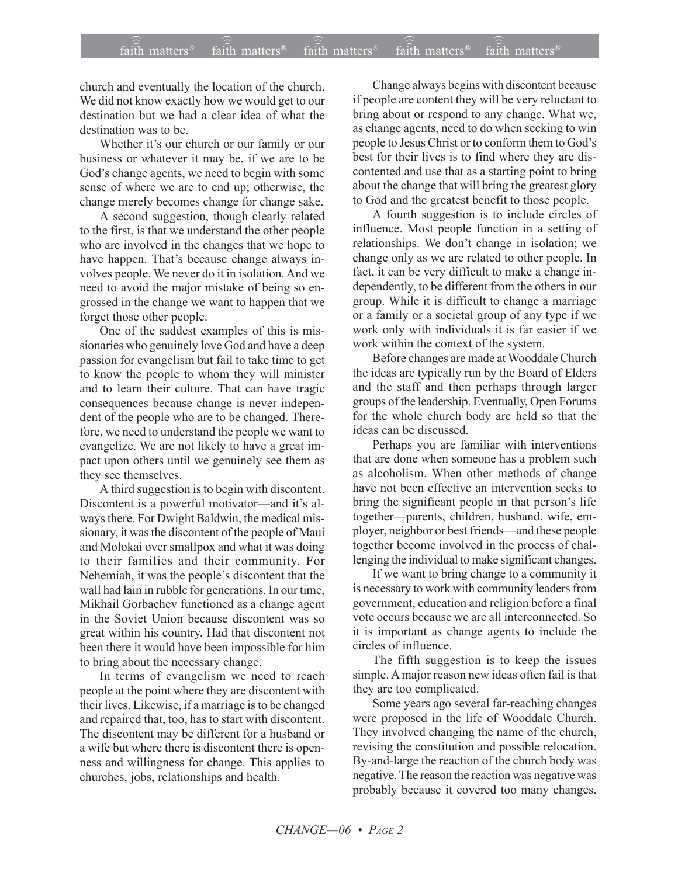church and eventually the location of the church. We did not know exactly how we would get to our destination but we had a clear idea of what the destination was to be.

Whether it's our church or our family or our business or whatever it may be, if we are to be God's change agents, we need to begin with some sense of where we are to end up; otherwise, the change merely becomes change for change sake.

A second suggestion, though clearly related to the first, is that we understand the other people who are involved in the changes that we hope to have happen. That's because change always involves people. We never do it in isolation. And we need to avoid the major mistake of being so engrossed in the change we want to happen that we forget those other people.

One of the saddest examples of this is missionaries who genuinely love God and have a deep passion for evangelism but fail to take time to get to know the people to whom they will minister and to learn their culture. That can have tragic consequences because change is never independent of the people who are to be changed. Therefore, we need to understand the people we want to evangelize. We are not likely to have a great impact upon others until we genuinely see them as they see themselves.

A third suggestion is to begin with discontent. Discontent is a powerful motivator—and it's always there. For Dwight Baldwin, the medical missionary, it was the discontent of the people of Maui and Molokai over smallpox and what it was doing to their families and their community. For Nehemiah, it was the people's discontent that the wall had lain in rubble for generations. In our time, Mikhail Gorbachev functioned as a change agent in the Soviet Union because discontent was so great within his country. Had that discontent not been there it would have been impossible for him to bring about the necessary change.

In terms of evangelism we need to reach people at the point where they are discontent with their lives. Likewise, if a marriage is to be changed and repaired that, too, has to start with discontent. The discontent may be different for a husband or a wife but where there is discontent there is openness and willingness for change. This applies to churches, jobs, relationships and health.

Change always begins with discontent because if people are content they will be very reluctant to bring about or respond to any change. What we, as change agents, need to do when seeking to win people to Jesus Christ or to conform them to God's best for their lives is to find where they are discontented and use that as a starting point to bring about the change that will bring the greatest glory to God and the greatest benefit to those people.

A fourth suggestion is to include circles of influence. Most people function in a setting of relationships. We don't change in isolation; we change only as we are related to other people. In fact, it can be very difficult to make a change independently, to be different from the others in our group. While it is difficult to change a marriage or a family or a societal group of any type if we work only with individuals it is far easier if we work within the context of the system.

Before changes are made at Wooddale Church the ideas are typically run by the Board of Elders and the staff and then perhaps through larger groups of the leadership. Eventually, Open Forums for the whole church body are held so that the ideas can be discussed.

Perhaps you are familiar with interventions that are done when someone has a problem such as alcoholism. When other methods of change have not been effective an intervention seeks to bring the significant people in that person's life together-parents, children, husband, wife, employer, neighbor or best friends—and these people together become involved in the process of challenging the individual to make significant changes.

If we want to bring change to a community it is necessary to work with community leaders from government, education and religion before a final vote occurs because we are all interconnected. So it is important as change agents to include the circles of influence.

The fifth suggestion is to keep the issues simple. A major reason new ideas often fail is that they are too complicated.

Some years ago several far-reaching changes were proposed in the life of Wooddale Church. They involved changing the name of the church, revising the constitution and possible relocation. By-and-large the reaction of the church body was negative. The reason the reaction was negative was probably because it covered too many changes.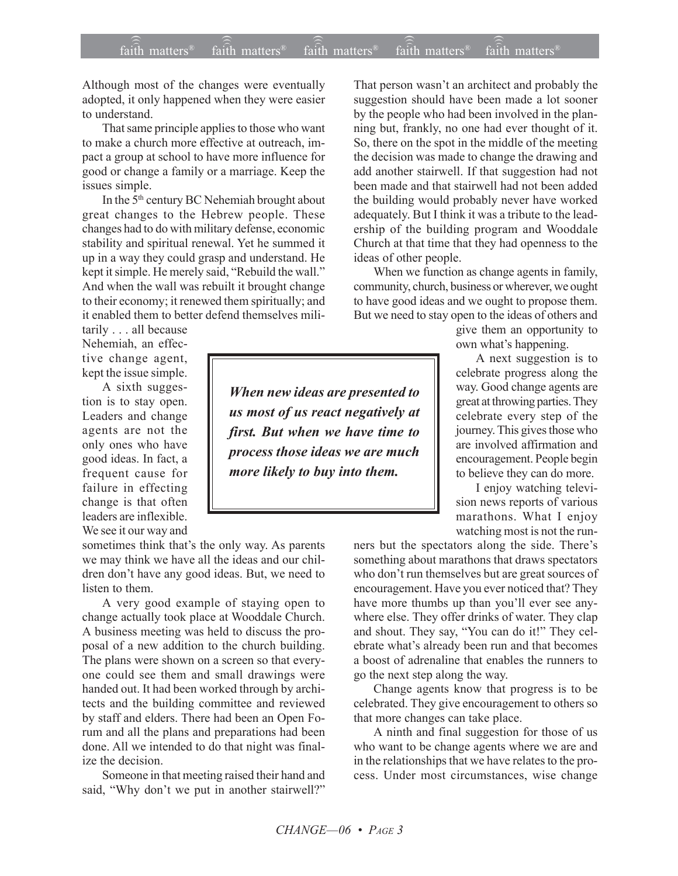Although most of the changes were eventually adopted, it only happened when they were easier to understand.

That same principle applies to those who want to make a church more effective at outreach, impact a group at school to have more influence for good or change a family or a marriage. Keep the issues simple.

In the 5th century BC Nehemiah brought about great changes to the Hebrew people. These changes had to do with military defense, economic stability and spiritual renewal. Yet he summed it up in a way they could grasp and understand. He kept it simple. He merely said, "Rebuild the wall." And when the wall was rebuilt it brought change to their economy; it renewed them spiritually; and it enabled them to better defend themselves mili-

tarily . . . all because Nehemiah, an effective change agent, kept the issue simple.

A sixth suggestion is to stay open. Leaders and change agents are not the only ones who have good ideas. In fact, a frequent cause for failure in effecting change is that often leaders are inflexible. We see it our way and

sometimes think that's the only way. As parents we may think we have all the ideas and our children don't have any good ideas. But, we need to listen to them.

A very good example of staying open to change actually took place at Wooddale Church. A business meeting was held to discuss the proposal of a new addition to the church building. The plans were shown on a screen so that everyone could see them and small drawings were handed out. It had been worked through by architects and the building committee and reviewed by staff and elders. There had been an Open Forum and all the plans and preparations had been done. All we intended to do that night was finalize the decision.

Someone in that meeting raised their hand and said, "Why don't we put in another stairwell?"

That person wasn't an architect and probably the suggestion should have been made a lot sooner by the people who had been involved in the planning but, frankly, no one had ever thought of it. So, there on the spot in the middle of the meeting the decision was made to change the drawing and add another stairwell. If that suggestion had not been made and that stairwell had not been added the building would probably never have worked adequately. But I think it was a tribute to the leadership of the building program and Wooddale Church at that time that they had openness to the ideas of other people.

When we function as change agents in family, community, church, business or wherever, we ought to have good ideas and we ought to propose them. But we need to stay open to the ideas of others and

give them an opportunity to own what's happening.

A next suggestion is to celebrate progress along the way. Good change agents are great at throwing parties. They celebrate every step of the journey. This gives those who are involved affirmation and encouragement. People begin to believe they can do more.

I enjoy watching television news reports of various marathons. What I enjoy watching most is not the run-

ners but the spectators along the side. There's something about marathons that draws spectators who don't run themselves but are great sources of encouragement. Have you ever noticed that? They have more thumbs up than you'll ever see anywhere else. They offer drinks of water. They clap and shout. They say, "You can do it!" They celebrate what's already been run and that becomes a boost of adrenaline that enables the runners to go the next step along the way.

Change agents know that progress is to be celebrated. They give encouragement to others so that more changes can take place.

A ninth and final suggestion for those of us who want to be change agents where we are and in the relationships that we have relates to the process. Under most circumstances, wise change

*When new ideas are presented to us most of us react negatively at first. But when we have time to process those ideas we are much more likely to buy into them.*